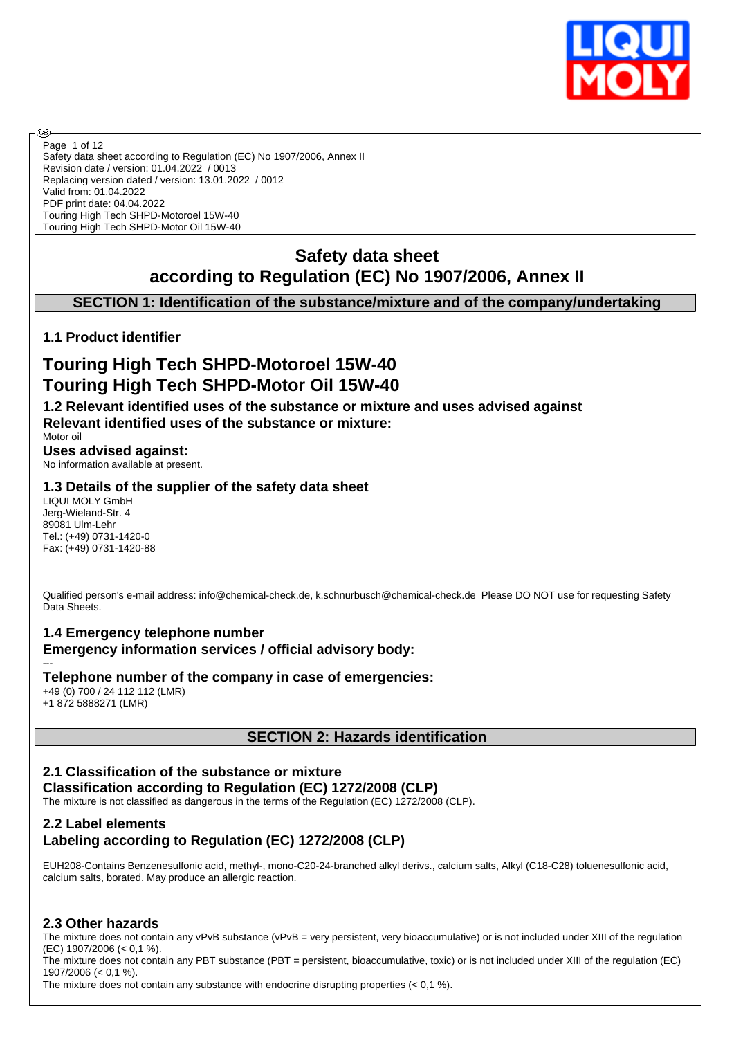

Safety data sheet according to Regulation (EC) No 1907/2006, Annex II Revision date / version: 01.04.2022 / 0013 Replacing version dated / version: 13.01.2022 / 0012 Valid from: 01.04.2022 PDF print date: 04.04.2022 Touring High Tech SHPD-Motoroel 15W-40 Touring High Tech SHPD-Motor Oil 15W-40 Page 1 of 12

# **Safety data sheet according to Regulation (EC) No 1907/2006, Annex II**

# **SECTION 1: Identification of the substance/mixture and of the company/undertaking**

# **1.1 Product identifier**

# **Touring High Tech SHPD-Motoroel 15W-40 Touring High Tech SHPD-Motor Oil 15W-40**

**1.2 Relevant identified uses of the substance or mixture and uses advised against Relevant identified uses of the substance or mixture:**

Motor oil

അ

**Uses advised against:** No information available at present.

# **1.3 Details of the supplier of the safety data sheet**

LIQUI MOLY GmbH Jerg-Wieland-Str. 4 89081 Ulm-Lehr Tel.: (+49) 0731-1420-0 Fax: (+49) 0731-1420-88

Qualified person's e-mail address: info@chemical-check.de, k.schnurbusch@chemical-check.de Please DO NOT use for requesting Safety Data Sheets

# **1.4 Emergency telephone number Emergency information services / official advisory body:**

--- **Telephone number of the company in case of emergencies:** +49 (0) 700 / 24 112 112 (LMR) +1 872 5888271 (LMR)

### **SECTION 2: Hazards identification**

# **2.1 Classification of the substance or mixture Classification according to Regulation (EC) 1272/2008 (CLP)**

The mixture is not classified as dangerous in the terms of the Regulation (EC) 1272/2008 (CLP).

## **2.2 Label elements Labeling according to Regulation (EC) 1272/2008 (CLP)**

EUH208-Contains Benzenesulfonic acid, methyl-, mono-C20-24-branched alkyl derivs., calcium salts, Alkyl (C18-C28) toluenesulfonic acid, calcium salts, borated. May produce an allergic reaction.

# **2.3 Other hazards**

The mixture does not contain any vPvB substance (vPvB = very persistent, very bioaccumulative) or is not included under XIII of the regulation (EC) 1907/2006 (< 0,1 %).

The mixture does not contain any PBT substance (PBT = persistent, bioaccumulative, toxic) or is not included under XIII of the regulation (EC) 1907/2006 (< 0,1 %).

The mixture does not contain any substance with endocrine disrupting properties (< 0,1 %).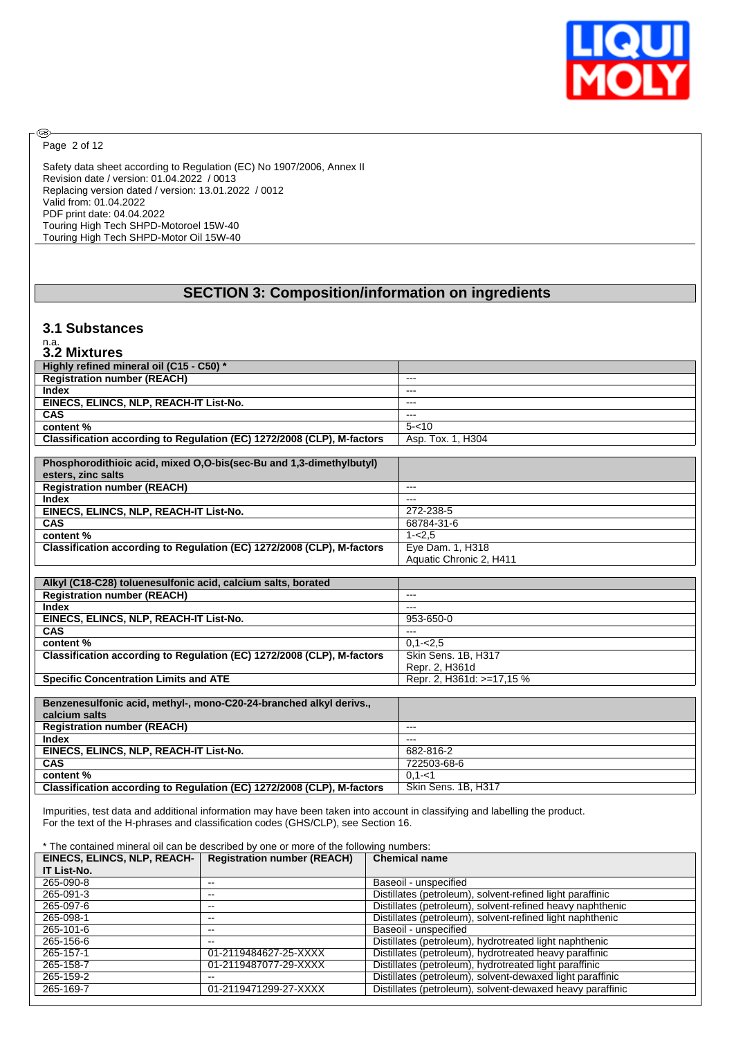

Page 2 of 12

⊛

Safety data sheet according to Regulation (EC) No 1907/2006, Annex II Revision date / version: 01.04.2022 / 0013 Replacing version dated / version: 13.01.2022 / 0012 Valid from: 01.04.2022 PDF print date: 04.04.2022 Touring High Tech SHPD-Motoroel 15W-40 Touring High Tech SHPD-Motor Oil 15W-40

# **SECTION 3: Composition/information on ingredients**

### **3.1 Substances**

# n.a. **3.2 Mixtures**

| --------------                                                         |                   |
|------------------------------------------------------------------------|-------------------|
| Highly refined mineral oil (C15 - C50) *                               |                   |
| <b>Registration number (REACH)</b>                                     | $- - -$           |
| Index                                                                  | $- - -$           |
| EINECS, ELINCS, NLP, REACH-IT List-No.                                 | $- - -$           |
| <b>CAS</b>                                                             | $- - -$           |
| content %                                                              | $5 - 10$          |
| Classification according to Regulation (EC) 1272/2008 (CLP), M-factors | Asp. Tox. 1. H304 |

| Phosphorodithioic acid, mixed O,O-bis(sec-Bu and 1,3-dimethylbutyl)    |                           |
|------------------------------------------------------------------------|---------------------------|
| esters, zinc salts                                                     |                           |
| <b>Registration number (REACH)</b>                                     | ---                       |
| <b>Index</b>                                                           | ---                       |
| EINECS, ELINCS, NLP, REACH-IT List-No.                                 | 272-238-5                 |
| <b>CAS</b>                                                             | 68784-31-6                |
| content %                                                              | $1 - 2.5$                 |
| Classification according to Regulation (EC) 1272/2008 (CLP), M-factors | Eye Dam. 1, H318          |
|                                                                        | Aquatic Chronic 2, H411   |
|                                                                        |                           |
| Alkyl (C18-C28) toluenesulfonic acid, calcium salts, borated           |                           |
| <b>Registration number (REACH)</b>                                     | $---$                     |
| <b>Index</b>                                                           | $---$                     |
| EINECS, ELINCS, NLP, REACH-IT List-No.                                 | 953-650-0                 |
| <b>CAS</b>                                                             | ---                       |
| content%                                                               | $0.1 - 2.5$               |
| Classification according to Regulation (EC) 1272/2008 (CLP), M-factors | Skin Sens. 1B, H317       |
|                                                                        | Repr. 2, H361d            |
| <b>Specific Concentration Limits and ATE</b>                           | Repr. 2, H361d: >=17,15 % |
|                                                                        |                           |
| Benzenesulfonic acid, methyl-, mono-C20-24-branched alkyl derivs.,     |                           |
| calcium salts                                                          |                           |
| <b>Registration number (REACH)</b>                                     | $---$                     |
| <b>Index</b>                                                           | $---$                     |
| EINECS, ELINCS, NLP, REACH-IT List-No.                                 | 682-816-2                 |
| <b>CAS</b>                                                             | 722503-68-6               |

**content %** 0,1-<1<br>**Classification according to Regulation (EC) 1272/2008 (CLP), M-factors Skin Sens. 1B, H317 Classification according to Regulation (EC) 1272/2008 (CLP), M-factors** Impurities, test data and additional information may have been taken into account in classifying and labelling the product.

For the text of the H-phrases and classification codes (GHS/CLP), see Section 16.

#### \* The contained mineral oil can be described by one or more of the following numbers:

| EINECS, ELINCS, NLP, REACH- | <b>Registration number (REACH)</b> | <b>Chemical name</b>                                      |
|-----------------------------|------------------------------------|-----------------------------------------------------------|
| IT List-No.                 |                                    |                                                           |
| 265-090-8                   | --                                 | Baseoil - unspecified                                     |
| 265-091-3                   | --                                 | Distillates (petroleum), solvent-refined light paraffinic |
| 265-097-6                   | $- -$                              | Distillates (petroleum), solvent-refined heavy naphthenic |
| 265-098-1                   | --                                 | Distillates (petroleum), solvent-refined light naphthenic |
| 265-101-6                   | --                                 | Baseoil - unspecified                                     |
| 265-156-6                   | --                                 | Distillates (petroleum), hydrotreated light naphthenic    |
| 265-157-1                   | 01-2119484627-25-XXXX              | Distillates (petroleum), hydrotreated heavy paraffinic    |
| 265-158-7                   | 01-2119487077-29-XXXX              | Distillates (petroleum), hydrotreated light paraffinic    |
| 265-159-2                   | --                                 | Distillates (petroleum), solvent-dewaxed light paraffinic |
| 265-169-7                   | 01-2119471299-27-XXXX              | Distillates (petroleum), solvent-dewaxed heavy paraffinic |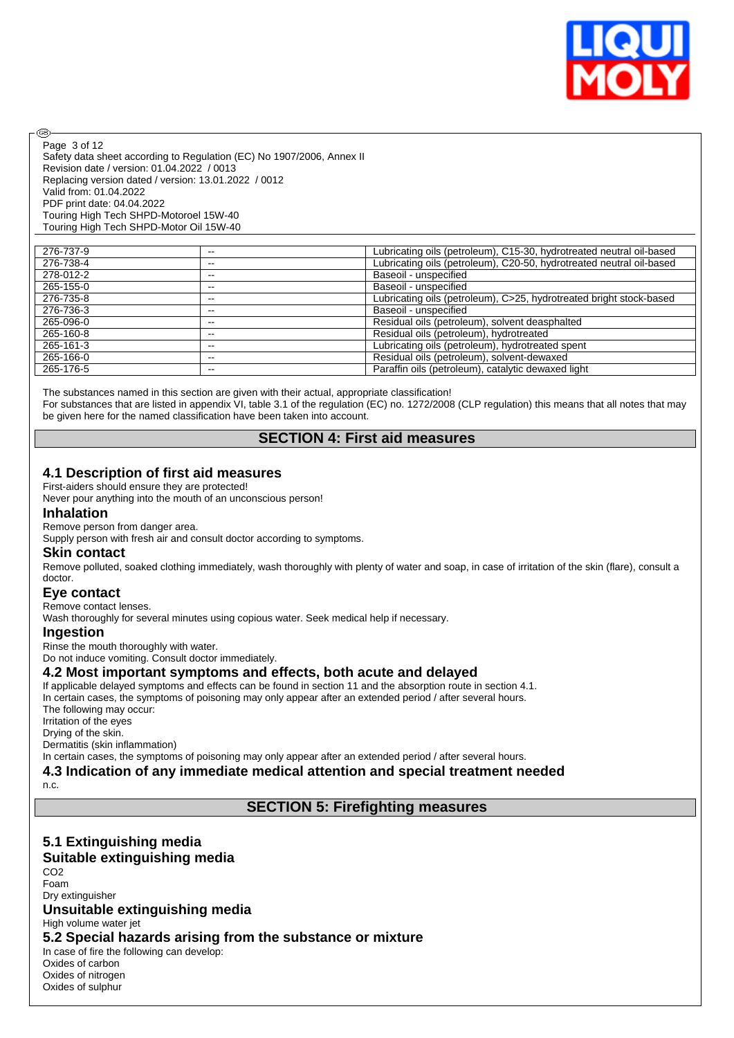

Safety data sheet according to Regulation (EC) No 1907/2006, Annex II Revision date / version: 01.04.2022 / 0013 Replacing version dated / version: 13.01.2022 / 0012 Valid from: 01.04.2022 PDF print date: 04.04.2022 Touring High Tech SHPD-Motoroel 15W-40 Touring High Tech SHPD-Motor Oil 15W-40 Page 3 of 12

| 276-737-9 | --    | Lubricating oils (petroleum), C15-30, hydrotreated neutral oil-based |
|-----------|-------|----------------------------------------------------------------------|
| 276-738-4 | --    | Lubricating oils (petroleum), C20-50, hydrotreated neutral oil-based |
| 278-012-2 | $- -$ | Baseoil - unspecified                                                |
| 265-155-0 | --    | Baseoil - unspecified                                                |
| 276-735-8 | --    | Lubricating oils (petroleum), C>25, hydrotreated bright stock-based  |
| 276-736-3 | --    | Baseoil - unspecified                                                |
| 265-096-0 | --    | Residual oils (petroleum), solvent deasphalted                       |
| 265-160-8 | $- -$ | Residual oils (petroleum), hydrotreated                              |
| 265-161-3 | --    | Lubricating oils (petroleum), hydrotreated spent                     |
| 265-166-0 | --    | Residual oils (petroleum), solvent-dewaxed                           |
| 265-176-5 | $- -$ | Paraffin oils (petroleum), catalytic dewaxed light                   |

The substances named in this section are given with their actual, appropriate classification! For substances that are listed in appendix VI, table 3.1 of the regulation (EC) no. 1272/2008 (CLP regulation) this means that all notes that may be given here for the named classification have been taken into account.

# **SECTION 4: First aid measures**

### **4.1 Description of first aid measures**

First-aiders should ensure they are protected!

Never pour anything into the mouth of an unconscious person!

#### **Inhalation**

൹

Remove person from danger area.

Supply person with fresh air and consult doctor according to symptoms.

### **Skin contact**

Remove polluted, soaked clothing immediately, wash thoroughly with plenty of water and soap, in case of irritation of the skin (flare), consult a doctor.

### **Eye contact**

Remove contact lenses.

Wash thoroughly for several minutes using copious water. Seek medical help if necessary.

#### **Ingestion**

Rinse the mouth thoroughly with water. Do not induce vomiting. Consult doctor immediately.

**4.2 Most important symptoms and effects, both acute and delayed**

If applicable delayed symptoms and effects can be found in section 11 and the absorption route in section 4.1. In certain cases, the symptoms of poisoning may only appear after an extended period / after several hours. The following may occur: Irritation of the eyes Drying of the skin. Dermatitis (skin inflammation)

In certain cases, the symptoms of poisoning may only appear after an extended period / after several hours.

**4.3 Indication of any immediate medical attention and special treatment needed**

n.c.

# **SECTION 5: Firefighting measures**

### **5.1 Extinguishing media Suitable extinguishing media**

CO2 Foam Dry extinguisher **Unsuitable extinguishing media** High volume water jet **5.2 Special hazards arising from the substance or mixture** In case of fire the following can develop: Oxides of carbon Oxides of nitrogen

Oxides of sulphur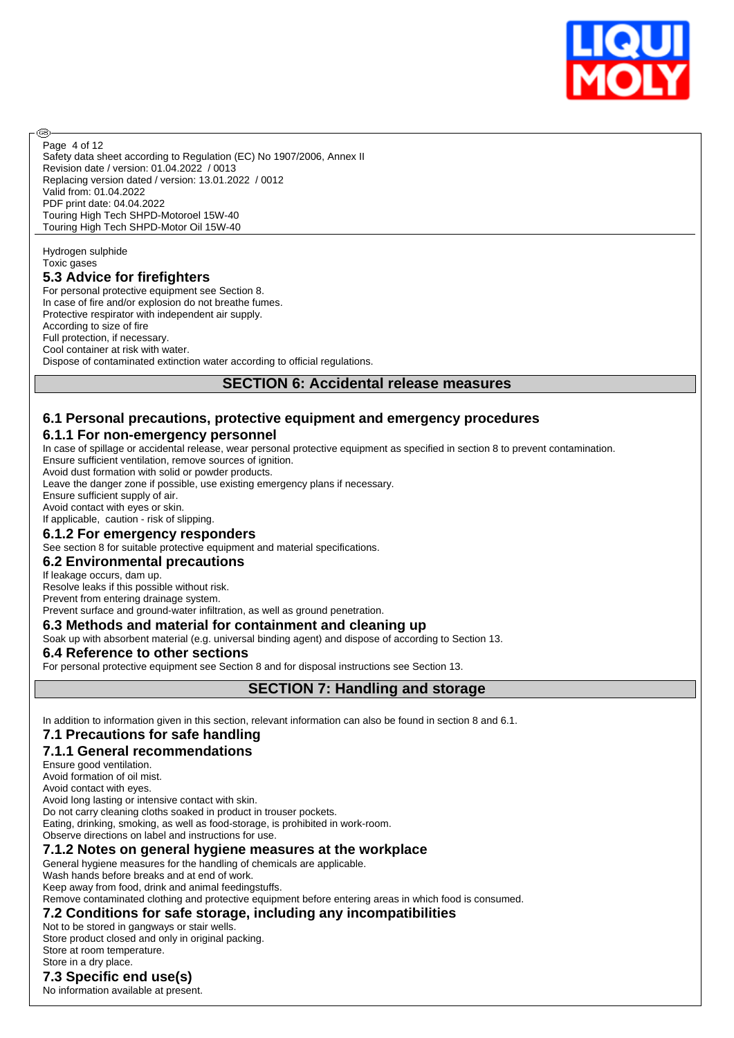

Safety data sheet according to Regulation (EC) No 1907/2006, Annex II Revision date / version: 01.04.2022 / 0013 Replacing version dated / version: 13.01.2022 / 0012 Valid from: 01.04.2022 PDF print date: 04.04.2022 Touring High Tech SHPD-Motoroel 15W-40 Touring High Tech SHPD-Motor Oil 15W-40 Page 4 of 12

Hydrogen sulphide Toxic gases

൹

### **5.3 Advice for firefighters**

For personal protective equipment see Section 8. In case of fire and/or explosion do not breathe fumes. Protective respirator with independent air supply. According to size of fire Full protection, if necessary. Cool container at risk with water. Dispose of contaminated extinction water according to official regulations.

## **SECTION 6: Accidental release measures**

## **6.1 Personal precautions, protective equipment and emergency procedures**

# **6.1.1 For non-emergency personnel**

In case of spillage or accidental release, wear personal protective equipment as specified in section 8 to prevent contamination. Ensure sufficient ventilation, remove sources of ignition.

Avoid dust formation with solid or powder products.

Leave the danger zone if possible, use existing emergency plans if necessary.

Ensure sufficient supply of air.

Avoid contact with eyes or skin.

## If applicable, caution - risk of slipping.

### **6.1.2 For emergency responders**

See section 8 for suitable protective equipment and material specifications.

#### **6.2 Environmental precautions**

#### If leakage occurs, dam up.

Resolve leaks if this possible without risk.

Prevent from entering drainage system.

Prevent surface and ground-water infiltration, as well as ground penetration.

### **6.3 Methods and material for containment and cleaning up**

Soak up with absorbent material (e.g. universal binding agent) and dispose of according to Section 13.

### **6.4 Reference to other sections**

For personal protective equipment see Section 8 and for disposal instructions see Section 13.

### **SECTION 7: Handling and storage**

In addition to information given in this section, relevant information can also be found in section 8 and 6.1.

# **7.1 Precautions for safe handling**

# **7.1.1 General recommendations**

Ensure good ventilation.

Avoid formation of oil mist.

Avoid contact with eyes.

Avoid long lasting or intensive contact with skin.

Do not carry cleaning cloths soaked in product in trouser pockets.

Eating, drinking, smoking, as well as food-storage, is prohibited in work-room.

Observe directions on label and instructions for use.

# **7.1.2 Notes on general hygiene measures at the workplace**

General hygiene measures for the handling of chemicals are applicable.

Wash hands before breaks and at end of work.

Keep away from food, drink and animal feedingstuffs.

Remove contaminated clothing and protective equipment before entering areas in which food is consumed.

# **7.2 Conditions for safe storage, including any incompatibilities**

Not to be stored in gangways or stair wells. Store product closed and only in original packing. Store at room temperature. Store in a dry place.

# **7.3 Specific end use(s)**

No information available at present.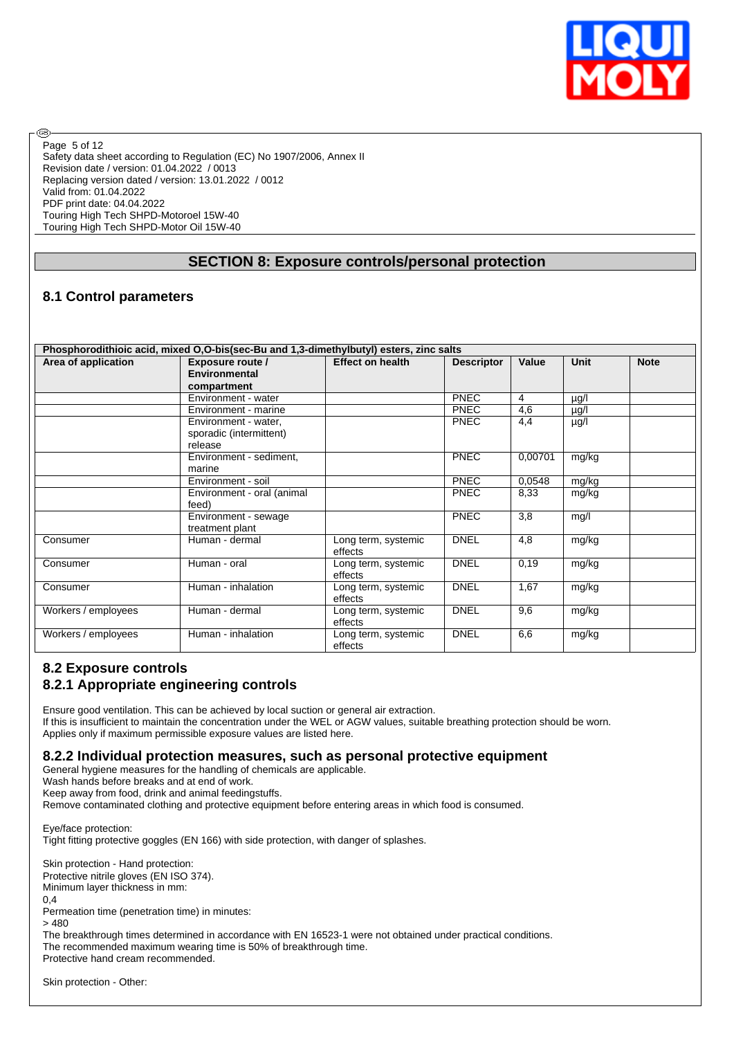

Safety data sheet according to Regulation (EC) No 1907/2006, Annex II Revision date / version: 01.04.2022 / 0013 Replacing version dated / version: 13.01.2022 / 0012 Valid from: 01.04.2022 PDF print date: 04.04.2022 Touring High Tech SHPD-Motoroel 15W-40 Touring High Tech SHPD-Motor Oil 15W-40 Page 5 of 12

# **SECTION 8: Exposure controls/personal protection**

# **8.1 Control parameters**

**®** 

| Phosphorodithioic acid, mixed O,O-bis(sec-Bu and 1,3-dimethylbutyl) esters, zinc salts |                            |                         |                   |                  |           |             |  |  |  |
|----------------------------------------------------------------------------------------|----------------------------|-------------------------|-------------------|------------------|-----------|-------------|--|--|--|
| Area of application                                                                    | <b>Exposure route /</b>    | <b>Effect on health</b> | <b>Descriptor</b> | Value            | Unit      | <b>Note</b> |  |  |  |
|                                                                                        | <b>Environmental</b>       |                         |                   |                  |           |             |  |  |  |
|                                                                                        | compartment                |                         |                   |                  |           |             |  |  |  |
|                                                                                        | Environment - water        |                         | <b>PNEC</b>       | 4                | µg/l      |             |  |  |  |
|                                                                                        | Environment - marine       |                         | <b>PNEC</b>       | $\overline{4,6}$ | $\mu$ g/l |             |  |  |  |
|                                                                                        | Environment - water,       |                         | <b>PNEC</b>       | 4,4              | µg/l      |             |  |  |  |
|                                                                                        | sporadic (intermittent)    |                         |                   |                  |           |             |  |  |  |
|                                                                                        | release                    |                         |                   |                  |           |             |  |  |  |
|                                                                                        | Environment - sediment,    |                         | <b>PNEC</b>       | 0,00701          | mg/kg     |             |  |  |  |
|                                                                                        | marine                     |                         |                   |                  |           |             |  |  |  |
|                                                                                        | Environment - soil         |                         | PNEC              | 0,0548           | mg/kg     |             |  |  |  |
|                                                                                        | Environment - oral (animal |                         | <b>PNEC</b>       | 8,33             | mg/kg     |             |  |  |  |
|                                                                                        | feed)                      |                         |                   |                  |           |             |  |  |  |
|                                                                                        | Environment - sewage       |                         | <b>PNEC</b>       | 3,8              | mg/l      |             |  |  |  |
|                                                                                        | treatment plant            |                         |                   |                  |           |             |  |  |  |
| Consumer                                                                               | Human - dermal             | Long term, systemic     | <b>DNEL</b>       | 4,8              | mg/kg     |             |  |  |  |
|                                                                                        |                            | effects                 |                   |                  |           |             |  |  |  |
| Consumer                                                                               | Human - oral               | Long term, systemic     | <b>DNEL</b>       | 0,19             | mg/kg     |             |  |  |  |
|                                                                                        |                            | effects                 |                   |                  |           |             |  |  |  |
| Consumer                                                                               | Human - inhalation         | Long term, systemic     | <b>DNEL</b>       | 1,67             | mg/kg     |             |  |  |  |
|                                                                                        |                            | effects                 |                   |                  |           |             |  |  |  |
| Workers / employees                                                                    | Human - dermal             | Long term, systemic     | <b>DNEL</b>       | 9,6              | mg/kg     |             |  |  |  |
|                                                                                        |                            | effects                 |                   |                  |           |             |  |  |  |
| Workers / employees                                                                    | Human - inhalation         | Long term, systemic     | <b>DNEL</b>       | 6,6              | mg/kg     |             |  |  |  |
|                                                                                        |                            | effects                 |                   |                  |           |             |  |  |  |

# **8.2 Exposure controls 8.2.1 Appropriate engineering controls**

Ensure good ventilation. This can be achieved by local suction or general air extraction. If this is insufficient to maintain the concentration under the WEL or AGW values, suitable breathing protection should be worn. Applies only if maximum permissible exposure values are listed here.

**8.2.2 Individual protection measures, such as personal protective equipment**

General hygiene measures for the handling of chemicals are applicable.

Wash hands before breaks and at end of work.

Keep away from food, drink and animal feedingstuffs.

Remove contaminated clothing and protective equipment before entering areas in which food is consumed.

Eye/face protection: Tight fitting protective goggles (EN 166) with side protection, with danger of splashes.

Skin protection - Hand protection: Protective nitrile gloves (EN ISO 374). Minimum layer thickness in mm: 0,4 Permeation time (penetration time) in minutes:

> 480

The breakthrough times determined in accordance with EN 16523-1 were not obtained under practical conditions. The recommended maximum wearing time is 50% of breakthrough time.

Protective hand cream recommended.

Skin protection - Other: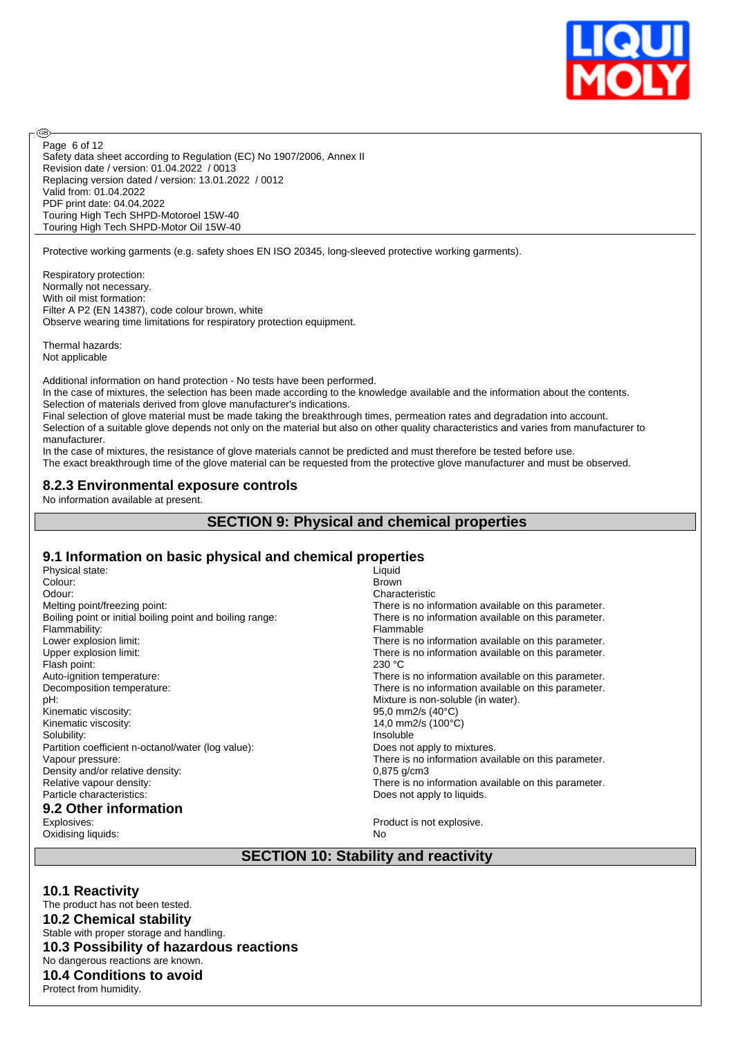

Safety data sheet according to Regulation (EC) No 1907/2006, Annex II Revision date / version: 01.04.2022 / 0013 Replacing version dated / version: 13.01.2022 / 0012 Valid from: 01.04.2022 PDF print date: 04.04.2022 Touring High Tech SHPD-Motoroel 15W-40 Touring High Tech SHPD-Motor Oil 15W-40 Page 6 of 12

Protective working garments (e.g. safety shoes EN ISO 20345, long-sleeved protective working garments).

Respiratory protection: Normally not necessary. With oil mist formation: Filter A P2 (EN 14387), code colour brown, white Observe wearing time limitations for respiratory protection equipment.

Thermal hazards: Not applicable

**®** 

Additional information on hand protection - No tests have been performed.

In the case of mixtures, the selection has been made according to the knowledge available and the information about the contents. Selection of materials derived from glove manufacturer's indications.

Final selection of glove material must be made taking the breakthrough times, permeation rates and degradation into account. Selection of a suitable glove depends not only on the material but also on other quality characteristics and varies from manufacturer to manufacturer.

In the case of mixtures, the resistance of glove materials cannot be predicted and must therefore be tested before use.

The exact breakthrough time of the glove material can be requested from the protective glove manufacturer and must be observed.

### **8.2.3 Environmental exposure controls**

No information available at present.

# **SECTION 9: Physical and chemical properties**

### **9.1 Information on basic physical and chemical properties**

| Physical state:                                           | Liquid                                               |
|-----------------------------------------------------------|------------------------------------------------------|
| Colour:                                                   | <b>Brown</b>                                         |
| Odour:                                                    | Characteristic                                       |
| Melting point/freezing point:                             | There is no information available on this parameter. |
| Boiling point or initial boiling point and boiling range: | There is no information available on this parameter. |
| Flammability:                                             | Flammable                                            |
| Lower explosion limit:                                    | There is no information available on this parameter. |
| Upper explosion limit:                                    | There is no information available on this parameter. |
| Flash point:                                              | 230 °C                                               |
| Auto-ignition temperature:                                | There is no information available on this parameter. |
| Decomposition temperature:                                | There is no information available on this parameter. |
| pH:                                                       | Mixture is non-soluble (in water).                   |
| Kinematic viscosity:                                      | 95,0 mm2/s $(40^{\circ}C)$                           |
| Kinematic viscosity:                                      | 14,0 mm2/s (100°C)                                   |
| Solubility:                                               | Insoluble                                            |
| Partition coefficient n-octanol/water (log value):        | Does not apply to mixtures.                          |
| Vapour pressure:                                          | There is no information available on this parameter. |
| Density and/or relative density:                          | $0,875$ g/cm3                                        |
| Relative vapour density:                                  | There is no information available on this parameter. |
| Particle characteristics:                                 | Does not apply to liquids.                           |
| 9.2 Other information                                     |                                                      |
| Explosives:                                               | Product is not explosive.                            |
| Oxidisina liquids:                                        | No.                                                  |

Oxidising liquids:

**SECTION 10: Stability and reactivity**

### **10.1 Reactivity**

The product has not been tested. **10.2 Chemical stability** Stable with proper storage and handling. **10.3 Possibility of hazardous reactions** No dangerous reactions are known. **10.4 Conditions to avoid** Protect from humidity.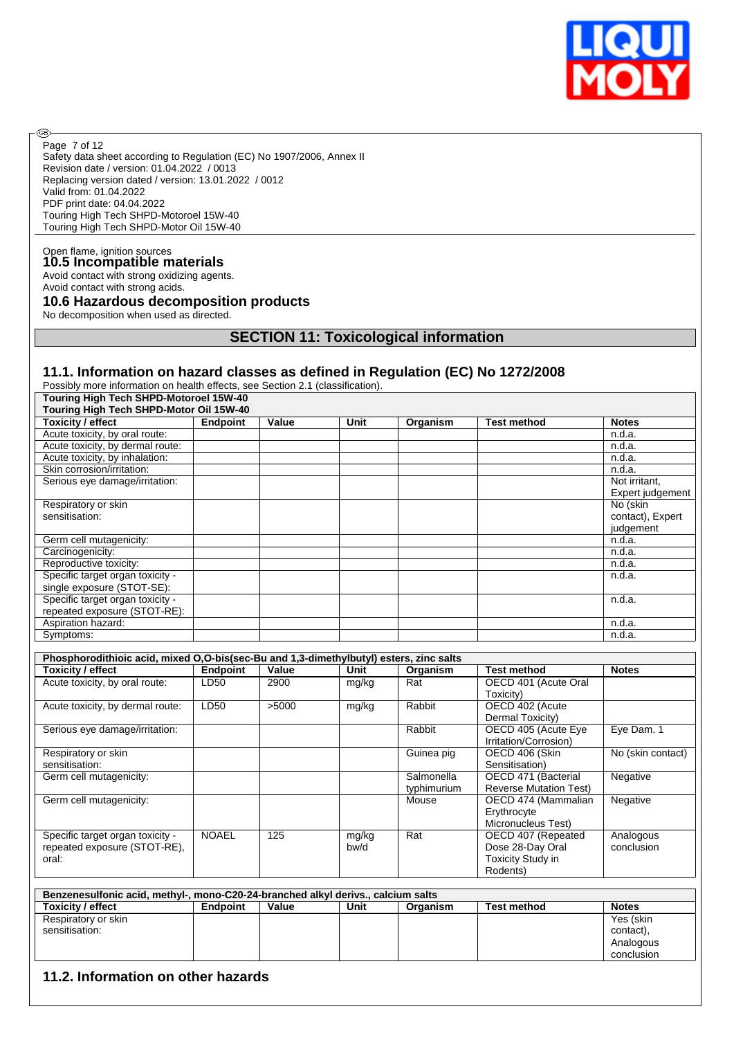

Safety data sheet according to Regulation (EC) No 1907/2006, Annex II Revision date / version: 01.04.2022 / 0013 Replacing version dated / version: 13.01.2022 / 0012 Valid from: 01.04.2022 PDF print date: 04.04.2022 Touring High Tech SHPD-Motoroel 15W-40 Touring High Tech SHPD-Motor Oil 15W-40 Page 7 of 12

# Open flame, ignition sources **10.5 Incompatible materials**

®

Avoid contact with strong oxidizing agents. Avoid contact with strong acids.

## **10.6 Hazardous decomposition products**

No decomposition when used as directed.

### **SECTION 11: Toxicological information**

## **11.1. Information on hazard classes as defined in Regulation (EC) No 1272/2008**

Possibly more information on health effects, see Section 2.1 (classification).

| <b>Touring High Tech SHPD-Motoroel 15W-40</b> |                 |       |      |          |                    |                  |  |  |  |
|-----------------------------------------------|-----------------|-------|------|----------|--------------------|------------------|--|--|--|
| Touring High Tech SHPD-Motor Oil 15W-40       |                 |       |      |          |                    |                  |  |  |  |
| <b>Toxicity / effect</b>                      | <b>Endpoint</b> | Value | Unit | Organism | <b>Test method</b> | <b>Notes</b>     |  |  |  |
| Acute toxicity, by oral route:                |                 |       |      |          |                    | n.d.a.           |  |  |  |
| Acute toxicity, by dermal route:              |                 |       |      |          |                    | n.d.a.           |  |  |  |
| Acute toxicity, by inhalation:                |                 |       |      |          |                    | n.d.a.           |  |  |  |
| Skin corrosion/irritation:                    |                 |       |      |          |                    | n.d.a.           |  |  |  |
| Serious eye damage/irritation:                |                 |       |      |          |                    | Not irritant.    |  |  |  |
|                                               |                 |       |      |          |                    | Expert judgement |  |  |  |
| Respiratory or skin                           |                 |       |      |          |                    | No (skin         |  |  |  |
| sensitisation:                                |                 |       |      |          |                    | contact), Expert |  |  |  |
|                                               |                 |       |      |          |                    | judgement        |  |  |  |
| Germ cell mutagenicity:                       |                 |       |      |          |                    | n.d.a.           |  |  |  |
| Carcinogenicity:                              |                 |       |      |          |                    | n.d.a.           |  |  |  |
| Reproductive toxicity:                        |                 |       |      |          |                    | n.d.a.           |  |  |  |
| Specific target organ toxicity -              |                 |       |      |          |                    | n.d.a.           |  |  |  |
| single exposure (STOT-SE):                    |                 |       |      |          |                    |                  |  |  |  |
| Specific target organ toxicity -              |                 |       |      |          |                    | n.d.a.           |  |  |  |
| repeated exposure (STOT-RE):                  |                 |       |      |          |                    |                  |  |  |  |
| Aspiration hazard:                            |                 |       |      |          |                    | n.d.a.           |  |  |  |
| Symptoms:                                     |                 |       |      |          |                    | n.d.a.           |  |  |  |

| Phosphorodithioic acid, mixed O,O-bis(sec-Bu and 1,3-dimethylbutyl) esters, zinc salts |              |       |       |             |                               |                   |  |  |  |
|----------------------------------------------------------------------------------------|--------------|-------|-------|-------------|-------------------------------|-------------------|--|--|--|
| <b>Toxicity / effect</b>                                                               | Endpoint     | Value | Unit  | Organism    | <b>Test method</b>            | <b>Notes</b>      |  |  |  |
| Acute toxicity, by oral route:                                                         | LD50         | 2900  | mg/kg | Rat         | OECD 401 (Acute Oral          |                   |  |  |  |
|                                                                                        |              |       |       |             | Toxicity)                     |                   |  |  |  |
| Acute toxicity, by dermal route:                                                       | LD50         | >5000 | mg/kg | Rabbit      | OECD 402 (Acute               |                   |  |  |  |
|                                                                                        |              |       |       |             | Dermal Toxicity)              |                   |  |  |  |
| Serious eye damage/irritation:                                                         |              |       |       | Rabbit      | OECD 405 (Acute Eye           | Eye Dam. 1        |  |  |  |
|                                                                                        |              |       |       |             | Irritation/Corrosion)         |                   |  |  |  |
| Respiratory or skin                                                                    |              |       |       | Guinea pig  | OECD 406 (Skin                | No (skin contact) |  |  |  |
| sensitisation:                                                                         |              |       |       |             | Sensitisation)                |                   |  |  |  |
| Germ cell mutagenicity:                                                                |              |       |       | Salmonella  | OECD 471 (Bacterial           | Negative          |  |  |  |
|                                                                                        |              |       |       | typhimurium | <b>Reverse Mutation Test)</b> |                   |  |  |  |
| Germ cell mutagenicity:                                                                |              |       |       | Mouse       | OECD 474 (Mammalian           | Negative          |  |  |  |
|                                                                                        |              |       |       |             | Erythrocyte                   |                   |  |  |  |
|                                                                                        |              |       |       |             | Micronucleus Test)            |                   |  |  |  |
| Specific target organ toxicity -                                                       | <b>NOAEL</b> | 125   | mg/kg | Rat         | OECD 407 (Repeated            | Analogous         |  |  |  |
| repeated exposure (STOT-RE),                                                           |              |       | bw/d  |             | Dose 28-Day Oral              | conclusion        |  |  |  |
| oral:                                                                                  |              |       |       |             | <b>Toxicity Study in</b>      |                   |  |  |  |
|                                                                                        |              |       |       |             | Rodents)                      |                   |  |  |  |

| Benzenesulfonic acid, methyl-, mono-C20-24-branched alkyl deriys., calcium salts |                 |       |      |          |                    |              |  |  |
|----------------------------------------------------------------------------------|-----------------|-------|------|----------|--------------------|--------------|--|--|
| <b>Toxicity / effect</b>                                                         | <b>Endpoint</b> | Value | Unit | Organism | <b>Test method</b> | <b>Notes</b> |  |  |
| Respiratory or skin                                                              |                 |       |      |          |                    | Yes (skin    |  |  |
| sensitisation:                                                                   |                 |       |      |          |                    | contact),    |  |  |
|                                                                                  |                 |       |      |          |                    | Analogous    |  |  |
|                                                                                  |                 |       |      |          |                    | conclusion   |  |  |

### **11.2. Information on other hazards**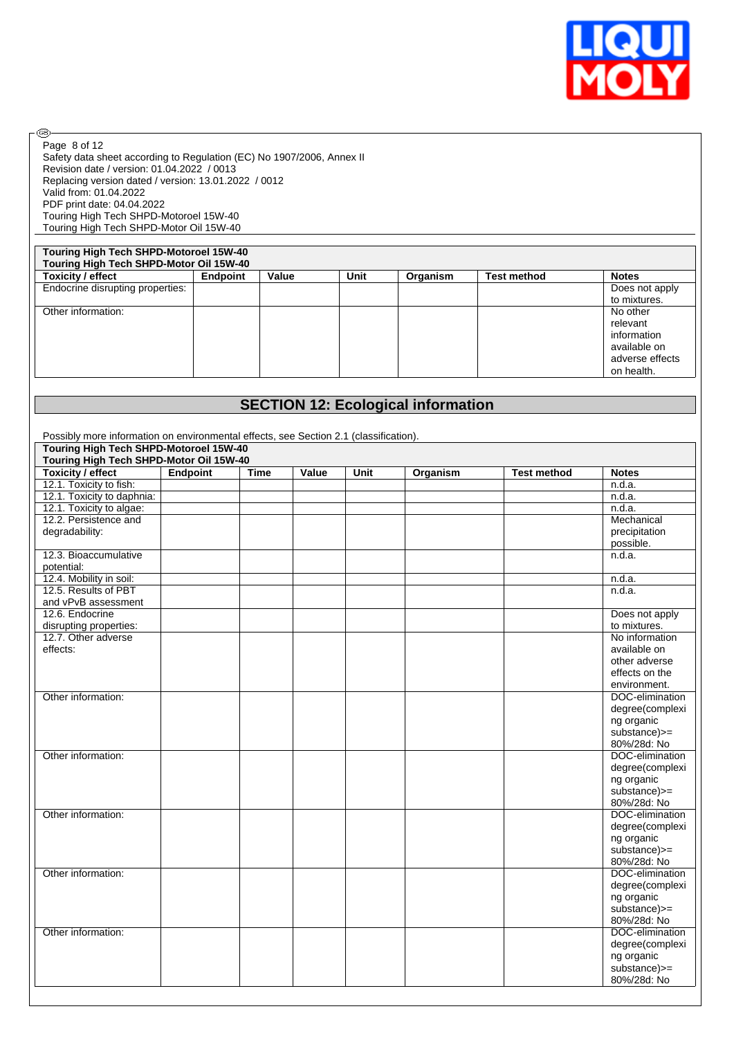

Safety data sheet according to Regulation (EC) No 1907/2006, Annex II Revision date / version: 01.04.2022 / 0013 Replacing version dated / version: 13.01.2022 / 0012 Valid from: 01.04.2022 PDF print date: 04.04.2022 Touring High Tech SHPD-Motoroel 15W-40 Touring High Tech SHPD-Motor Oil 15W-40 Page 8 of 12

# **Touring High Tech SHPD-Motoroel 15W-40**

 $\circledcirc$ 

| Touring High Tech SHPD-Motor Oil 15W-40 |                 |       |      |          |                    |                 |  |
|-----------------------------------------|-----------------|-------|------|----------|--------------------|-----------------|--|
| <b>Toxicity / effect</b>                | <b>Endpoint</b> | Value | Unit | Organism | <b>Test method</b> | <b>Notes</b>    |  |
| Endocrine disrupting properties:        |                 |       |      |          |                    | Does not apply  |  |
|                                         |                 |       |      |          |                    | to mixtures.    |  |
| Other information:                      |                 |       |      |          |                    | No other        |  |
|                                         |                 |       |      |          |                    | relevant        |  |
|                                         |                 |       |      |          |                    | information     |  |
|                                         |                 |       |      |          |                    | available on    |  |
|                                         |                 |       |      |          |                    | adverse effects |  |
|                                         |                 |       |      |          |                    | on health.      |  |
|                                         |                 |       |      |          |                    |                 |  |

# **SECTION 12: Ecological information**

| Possibly more information on environmental effects, see Section 2.1 (classification). |                 |             |       |             |          |                    |                 |
|---------------------------------------------------------------------------------------|-----------------|-------------|-------|-------------|----------|--------------------|-----------------|
| <b>Touring High Tech SHPD-Motoroel 15W-40</b>                                         |                 |             |       |             |          |                    |                 |
| Touring High Tech SHPD-Motor Oil 15W-40                                               |                 |             |       |             |          |                    |                 |
| <b>Toxicity / effect</b>                                                              | <b>Endpoint</b> | <b>Time</b> | Value | <b>Unit</b> | Organism | <b>Test method</b> | <b>Notes</b>    |
| 12.1. Toxicity to fish:                                                               |                 |             |       |             |          |                    | n.d.a.          |
| 12.1. Toxicity to daphnia:                                                            |                 |             |       |             |          |                    | n.d.a.          |
| 12.1. Toxicity to algae:                                                              |                 |             |       |             |          |                    | n.d.a.          |
| 12.2. Persistence and                                                                 |                 |             |       |             |          |                    | Mechanical      |
| degradability:                                                                        |                 |             |       |             |          |                    | precipitation   |
|                                                                                       |                 |             |       |             |          |                    | possible.       |
| 12.3. Bioaccumulative                                                                 |                 |             |       |             |          |                    | n.d.a.          |
| potential:                                                                            |                 |             |       |             |          |                    |                 |
| 12.4. Mobility in soil:                                                               |                 |             |       |             |          |                    | n.d.a.          |
| 12.5. Results of PBT                                                                  |                 |             |       |             |          |                    | n.d.a.          |
| and vPvB assessment                                                                   |                 |             |       |             |          |                    |                 |
| 12.6. Endocrine                                                                       |                 |             |       |             |          |                    | Does not apply  |
| disrupting properties:                                                                |                 |             |       |             |          |                    | to mixtures.    |
| 12.7. Other adverse                                                                   |                 |             |       |             |          |                    | No information  |
| effects:                                                                              |                 |             |       |             |          |                    | available on    |
|                                                                                       |                 |             |       |             |          |                    | other adverse   |
|                                                                                       |                 |             |       |             |          |                    | effects on the  |
|                                                                                       |                 |             |       |             |          |                    | environment.    |
| Other information:                                                                    |                 |             |       |             |          |                    | DOC-elimination |
|                                                                                       |                 |             |       |             |          |                    | degree(complexi |
|                                                                                       |                 |             |       |             |          |                    | ng organic      |
|                                                                                       |                 |             |       |             |          |                    | substance)>=    |
|                                                                                       |                 |             |       |             |          |                    | 80%/28d: No     |
| Other information:                                                                    |                 |             |       |             |          |                    | DOC-elimination |
|                                                                                       |                 |             |       |             |          |                    | degree(complexi |
|                                                                                       |                 |             |       |             |          |                    | ng organic      |
|                                                                                       |                 |             |       |             |          |                    | substance)>=    |
|                                                                                       |                 |             |       |             |          |                    | 80%/28d: No     |
| Other information:                                                                    |                 |             |       |             |          |                    | DOC-elimination |
|                                                                                       |                 |             |       |             |          |                    | degree(complexi |
|                                                                                       |                 |             |       |             |          |                    | ng organic      |
|                                                                                       |                 |             |       |             |          |                    | substance)>=    |
|                                                                                       |                 |             |       |             |          |                    | 80%/28d: No     |
| Other information:                                                                    |                 |             |       |             |          |                    | DOC-elimination |
|                                                                                       |                 |             |       |             |          |                    | degree(complexi |
|                                                                                       |                 |             |       |             |          |                    | ng organic      |
|                                                                                       |                 |             |       |             |          |                    | substance)>=    |
|                                                                                       |                 |             |       |             |          |                    | 80%/28d: No     |
| Other information:                                                                    |                 |             |       |             |          |                    | DOC-elimination |
|                                                                                       |                 |             |       |             |          |                    | degree(complexi |
|                                                                                       |                 |             |       |             |          |                    | ng organic      |
|                                                                                       |                 |             |       |             |          |                    | substance)>=    |
|                                                                                       |                 |             |       |             |          |                    | 80%/28d: No     |
|                                                                                       |                 |             |       |             |          |                    |                 |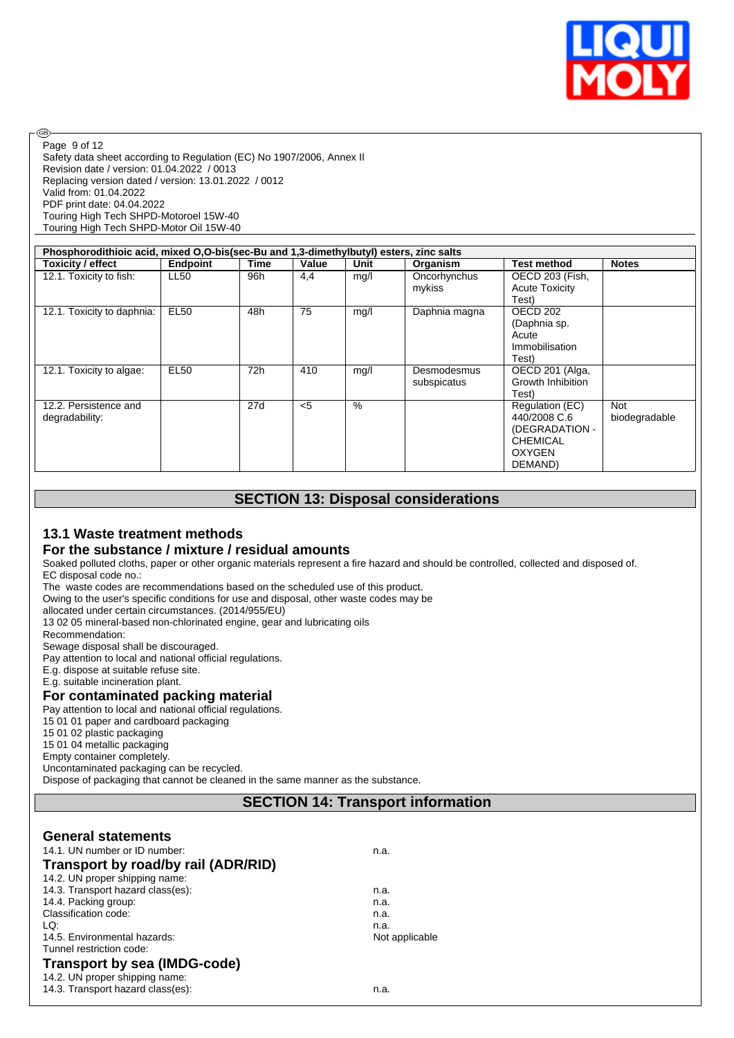

Safety data sheet according to Regulation (EC) No 1907/2006, Annex II Revision date / version: 01.04.2022 / 0013 Replacing version dated / version: 13.01.2022 / 0012 Valid from: 01.04.2022 PDF print date: 04.04.2022 Touring High Tech SHPD-Motoroel 15W-40 Touring High Tech SHPD-Motor Oil 15W-40 Page 9 of 12

| Phosphorodithioic acid, mixed O,O-bis(sec-Bu and 1,3-dimethylbutyl) esters, zinc salts |             |      |       |      |               |                       |               |  |
|----------------------------------------------------------------------------------------|-------------|------|-------|------|---------------|-----------------------|---------------|--|
| Toxicity / effect                                                                      | Endpoint    | Time | Value | Unit | Organism      | <b>Test method</b>    | <b>Notes</b>  |  |
| 12.1. Toxicity to fish:                                                                | <b>LL50</b> | 96h  | 4,4   | mg/l | Oncorhynchus  | OECD 203 (Fish,       |               |  |
|                                                                                        |             |      |       |      | mykiss        | <b>Acute Toxicity</b> |               |  |
|                                                                                        |             |      |       |      |               | Test)                 |               |  |
| 12.1. Toxicity to daphnia:                                                             | <b>EL50</b> | 48h  | 75    | mg/l | Daphnia magna | OECD 202              |               |  |
|                                                                                        |             |      |       |      |               | (Daphnia sp.          |               |  |
|                                                                                        |             |      |       |      |               | Acute                 |               |  |
|                                                                                        |             |      |       |      |               | Immobilisation        |               |  |
|                                                                                        |             |      |       |      |               | Test)                 |               |  |
| 12.1. Toxicity to algae:                                                               | <b>EL50</b> | 72h  | 410   | mg/l | Desmodesmus   | OECD 201 (Alga,       |               |  |
|                                                                                        |             |      |       |      | subspicatus   | Growth Inhibition     |               |  |
|                                                                                        |             |      |       |      |               | Test).                |               |  |
| 12.2. Persistence and                                                                  |             | 27d  | < 5   | $\%$ |               | Regulation (EC)       | <b>Not</b>    |  |
| degradability:                                                                         |             |      |       |      |               | 440/2008 C.6          | biodegradable |  |
|                                                                                        |             |      |       |      |               | (DEGRADATION -        |               |  |
|                                                                                        |             |      |       |      |               | <b>CHEMICAL</b>       |               |  |
|                                                                                        |             |      |       |      |               | OXYGEN                |               |  |
|                                                                                        |             |      |       |      |               | DEMAND)               |               |  |

# **SECTION 13: Disposal considerations**

### **13.1 Waste treatment methods**

### **For the substance / mixture / residual amounts**

Soaked polluted cloths, paper or other organic materials represent a fire hazard and should be controlled, collected and disposed of. EC disposal code no.:

The waste codes are recommendations based on the scheduled use of this product.

Owing to the user's specific conditions for use and disposal, other waste codes may be

allocated under certain circumstances. (2014/955/EU)

13 02 05 mineral-based non-chlorinated engine, gear and lubricating oils

Recommendation:

®

Sewage disposal shall be discouraged.

Pay attention to local and national official regulations.

E.g. dispose at suitable refuse site.

E.g. suitable incineration plant.

### **For contaminated packing material**

Pay attention to local and national official regulations.

15 01 01 paper and cardboard packaging

15 01 02 plastic packaging

15 01 04 metallic packaging

Empty container completely.

Uncontaminated packaging can be recycled.

Dispose of packaging that cannot be cleaned in the same manner as the substance.

# **SECTION 14: Transport information**

### **General statements**

| 14.1. UN number or ID number:       | n.a.           |  |
|-------------------------------------|----------------|--|
| Transport by road/by rail (ADR/RID) |                |  |
| 14.2. UN proper shipping name:      |                |  |
| 14.3. Transport hazard class(es):   | n.a.           |  |
| 14.4. Packing group:                | n.a.           |  |
| Classification code:                | n.a.           |  |
| LQ:                                 | n.a.           |  |
| 14.5. Environmental hazards:        | Not applicable |  |
| Tunnel restriction code:            |                |  |
| <b>Transport by sea (IMDG-code)</b> |                |  |
| 14.2. UN proper shipping name:      |                |  |
| 14.3. Transport hazard class(es):   | n.a.           |  |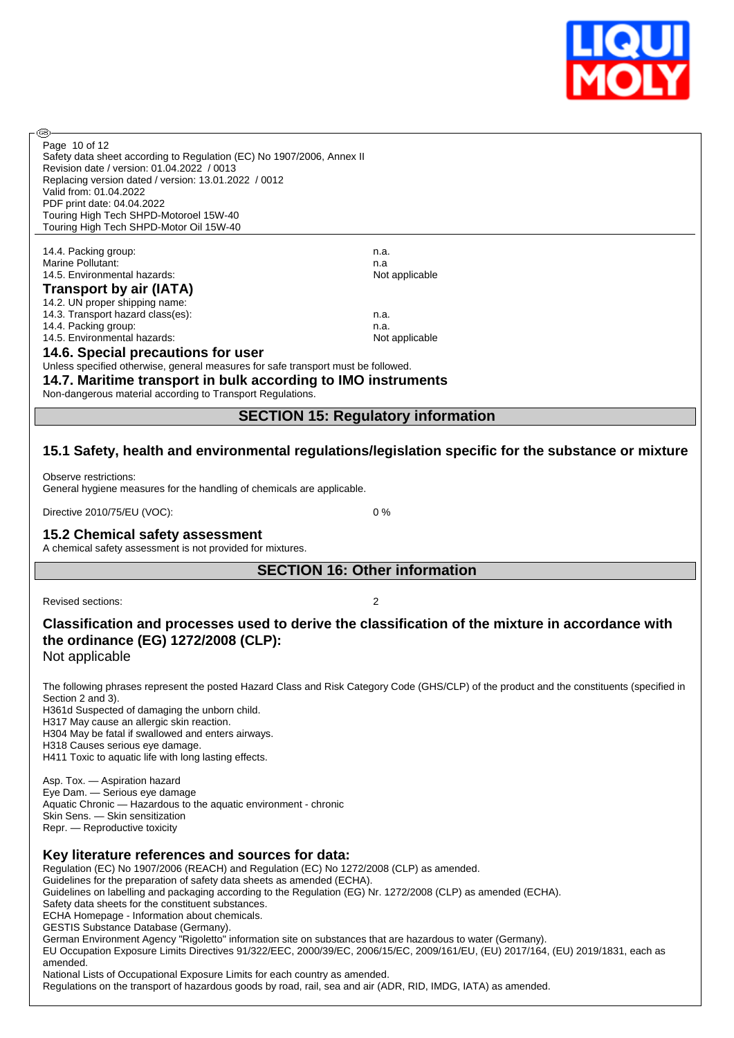

| Safety data sheet according to Regulation (EC) No 1907/2006, Annex II             |                |  |  |
|-----------------------------------------------------------------------------------|----------------|--|--|
| Revision date / version: 01.04.2022 / 0013                                        |                |  |  |
| Replacing version dated / version: 13.01.2022 / 0012                              |                |  |  |
| Valid from: 01.04.2022                                                            |                |  |  |
| PDF print date: 04.04.2022                                                        |                |  |  |
| Touring High Tech SHPD-Motoroel 15W-40                                            |                |  |  |
| Touring High Tech SHPD-Motor Oil 15W-40                                           |                |  |  |
|                                                                                   |                |  |  |
| 14.4. Packing group:                                                              | n.a.           |  |  |
| Marine Pollutant:                                                                 | n.a            |  |  |
| 14.5. Environmental hazards:                                                      | Not applicable |  |  |
| <b>Transport by air (IATA)</b>                                                    |                |  |  |
| 14.2. UN proper shipping name:                                                    |                |  |  |
| 14.3. Transport hazard class(es):                                                 | n.a.           |  |  |
| 14.4. Packing group:                                                              | n.a.           |  |  |
| 14.5. Environmental hazards:                                                      | Not applicable |  |  |
| 14.6. Special precautions for user                                                |                |  |  |
| Unless specified otherwise, general measures for safe transport must be followed. |                |  |  |
| 14.7. Maritime transport in bulk according to IMO instruments                     |                |  |  |

Non-dangerous material according to Transport Regulations.

# **SECTION 15: Regulatory information**

## **15.1 Safety, health and environmental regulations/legislation specific for the substance or mixture**

Observe restrictions: General hygiene measures for the handling of chemicals are applicable.

Directive 2010/75/EU (VOC): 0 %

### **15.2 Chemical safety assessment**

A chemical safety assessment is not provided for mixtures.

# **SECTION 16: Other information**

Revised sections: 2

Page 10 of 12

രി

# **Classification and processes used to derive the classification of the mixture in accordance with the ordinance (EG) 1272/2008 (CLP):**

Not applicable

The following phrases represent the posted Hazard Class and Risk Category Code (GHS/CLP) of the product and the constituents (specified in Section 2 and 3).

H361d Suspected of damaging the unborn child.

H317 May cause an allergic skin reaction. H304 May be fatal if swallowed and enters airways.

H318 Causes serious eye damage.

H411 Toxic to aquatic life with long lasting effects.

Asp. Tox. — Aspiration hazard Eye Dam. — Serious eye damage Aquatic Chronic — Hazardous to the aquatic environment - chronic Skin Sens. — Skin sensitization Repr. — Reproductive toxicity

# **Key literature references and sources for data:**

Regulation (EC) No 1907/2006 (REACH) and Regulation (EC) No 1272/2008 (CLP) as amended. Guidelines for the preparation of safety data sheets as amended (ECHA). Guidelines on labelling and packaging according to the Regulation (EG) Nr. 1272/2008 (CLP) as amended (ECHA). Safety data sheets for the constituent substances. ECHA Homepage - Information about chemicals. GESTIS Substance Database (Germany). German Environment Agency "Rigoletto" information site on substances that are hazardous to water (Germany). EU Occupation Exposure Limits Directives 91/322/EEC, 2000/39/EC, 2006/15/EC, 2009/161/EU, (EU) 2017/164, (EU) 2019/1831, each as amended. National Lists of Occupational Exposure Limits for each country as amended.

Regulations on the transport of hazardous goods by road, rail, sea and air (ADR, RID, IMDG, IATA) as amended.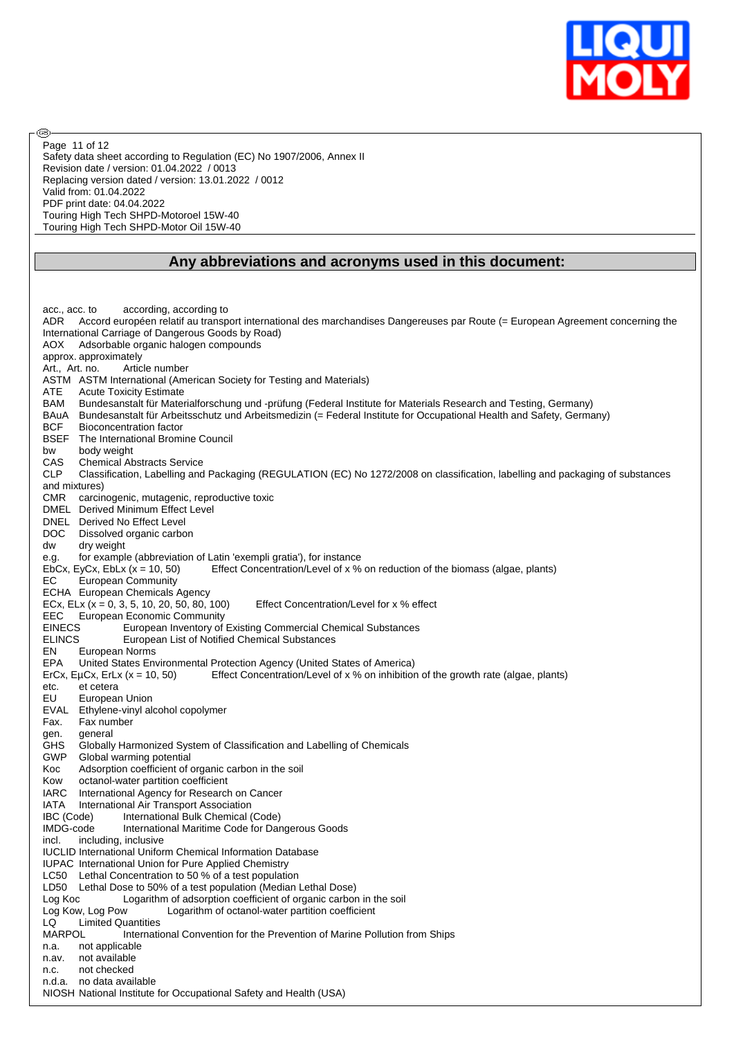

Safety data sheet according to Regulation (EC) No 1907/2006, Annex II Revision date / version: 01.04.2022 / 0013 Replacing version dated / version: 13.01.2022 / 0012 Valid from: 01.04.2022 PDF print date: 04.04.2022 Touring High Tech SHPD-Motoroel 15W-40 Touring High Tech SHPD-Motor Oil 15W-40 Page 11 of 12

൹

### **Any abbreviations and acronyms used in this document:**

acc., acc. to according, according to ADR Accord européen relatif au transport international des marchandises Dangereuses par Route (= European Agreement concerning the International Carriage of Dangerous Goods by Road) AOX Adsorbable organic halogen compounds approx. approximately Art., Art. no. Article number ASTM ASTM International (American Society for Testing and Materials) ATE Acute Toxicity Estimate BAM Bundesanstalt für Materialforschung und -prüfung (Federal Institute for Materials Research and Testing, Germany) BAuA Bundesanstalt für Arbeitsschutz und Arbeitsmedizin (= Federal Institute for Occupational Health and Safety, Germany) BCF Bioconcentration factor BSEF The International Bromine Council bw body weight CAS Chemical Abstracts Service CLP Classification, Labelling and Packaging (REGULATION (EC) No 1272/2008 on classification, labelling and packaging of substances and mixtures) CMR carcinogenic, mutagenic, reproductive toxic DMEL Derived Minimum Effect Level DNEL Derived No Effect Level DOC Dissolved organic carbon dw dry weight e.g. for example (abbreviation of Latin 'exempli gratia'), for instance EbCx, EyCx, EbLx (x = 10, 50) Effect Concentration/Level of x % on reduction of the biomass (algae, plants) EC European Community ECHA European Chemicals Agency ECx, ELx  $(x = 0, 3, 5, 10, 20, 50, 80, 100)$  Effect Concentration/Level for x % effect EEC European Economic Community EINECS European Inventory of Existing Commercial Chemical Substances<br>
ELINCS European List of Notified Chemical Substances European List of Notified Chemical Substances EN European Norms EPA United States Environmental Protection Agency (United States of America)<br>ErCx, EuCx, ErLx (x = 10, 50) Effect Concentration/Level of x % on inhibition Effect Concentration/Level of x % on inhibition of the growth rate (algae, plants) etc. et cetera EU European Union EVAL Ethylene-vinyl alcohol copolymer Fax. Fax number gen. general GHS Globally Harmonized System of Classification and Labelling of Chemicals GWP Global warming potential Koc Adsorption coefficient of organic carbon in the soil Kow octanol-water partition coefficient<br>IARC International Agency for Research International Agency for Research on Cancer IATA International Air Transport Association IBC (Code) International Bulk Chemical (Code) IMDG-code International Maritime Code for Dangerous Goods incl. including, inclusive IUCLID International Uniform Chemical Information Database IUPAC International Union for Pure Applied Chemistry LC50 Lethal Concentration to 50 % of a test population LD50 Lethal Dose to 50% of a test population (Median Lethal Dose) Log Koc Logarithm of adsorption coefficient of organic carbon in the soil<br>Log Kow, Log Pow Logarithm of octanol-water partition coefficient Logarithm of octanol-water partition coefficient LQ Limited Quantities MARPOL International Convention for the Prevention of Marine Pollution from Ships n.a. not applicable n.av. not available n.c. not checked n.d.a. no data available NIOSH National Institute for Occupational Safety and Health (USA)